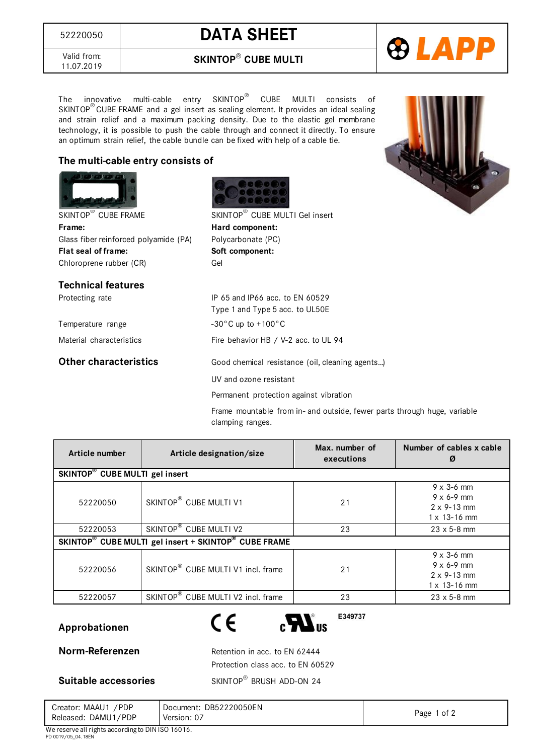<sup>52220050</sup> **DATA SHEET**

**SKINTOP**® **CUBE MULTI**

69 LA

Valid from: 11.07.2019

The innovative multi-cable entry SKINTOP® CUBE MULTI consists of SKINTOP® CUBE FRAME and a gel insert as sealing element. It provides an ideal sealing and strain relief and a maximum packing density. Due to the elastic gel membrane technology, it is possible to push the cable through and connect it directly. To ensure an optimum strain relief, the cable bundle can be fixed with help of a cable tie.

## **The multi-cable entry consists of**



| Article number                                       | Article designation/size           | Max. number of<br>executions | Number of cables x cable<br>Ø                                                               |  |
|------------------------------------------------------|------------------------------------|------------------------------|---------------------------------------------------------------------------------------------|--|
| SKINTOP <sup>®</sup> CUBE MULTI gel insert           |                                    |                              |                                                                                             |  |
| 52220050                                             | SKINTOP <sup>®</sup> CUBE MULTI V1 | 21                           | $9 \times 3 - 6$ mm<br>$9 \times 6 - 9$ mm<br>$2 \times 9 - 13$ mm<br>$1 \times 13 - 16$ mm |  |
| 52220053                                             | SKINTOP® CUBE MULTI V2             | 23                           | $23 \times 5 - 8$ mm                                                                        |  |
| SKINTOP® CUBE MULTI gel insert + SKINTOP® CUBE FRAME |                                    |                              |                                                                                             |  |
| 52220056                                             | SKINTOP® CUBE MULTI V1 incl. frame | 21                           | $9 \times 3 - 6$ mm<br>$9 \times 6 - 9$ mm<br>$2 \times 9 - 13$ mm<br>$1 \times 13 - 16$ mm |  |
| 52220057                                             | SKINTOP® CUBE MULTI V2 incl. frame | 23                           | $23 \times 5 - 8$ mm                                                                        |  |

## **Approbationen**



E349737

**Norm-Referenzen** Retention in acc. to EN 62444 Protection class acc. to EN 60529 SKINTOP<sup>®</sup> BRUSH ADD-ON 24

**Suitable accessories** 

Creator: MAAU1 /PDP Released: DAMU1/PDP Document: DB52220050EN Version: 07 Page 1 of 2 We reserve all rights according to DIN ISO 16016.